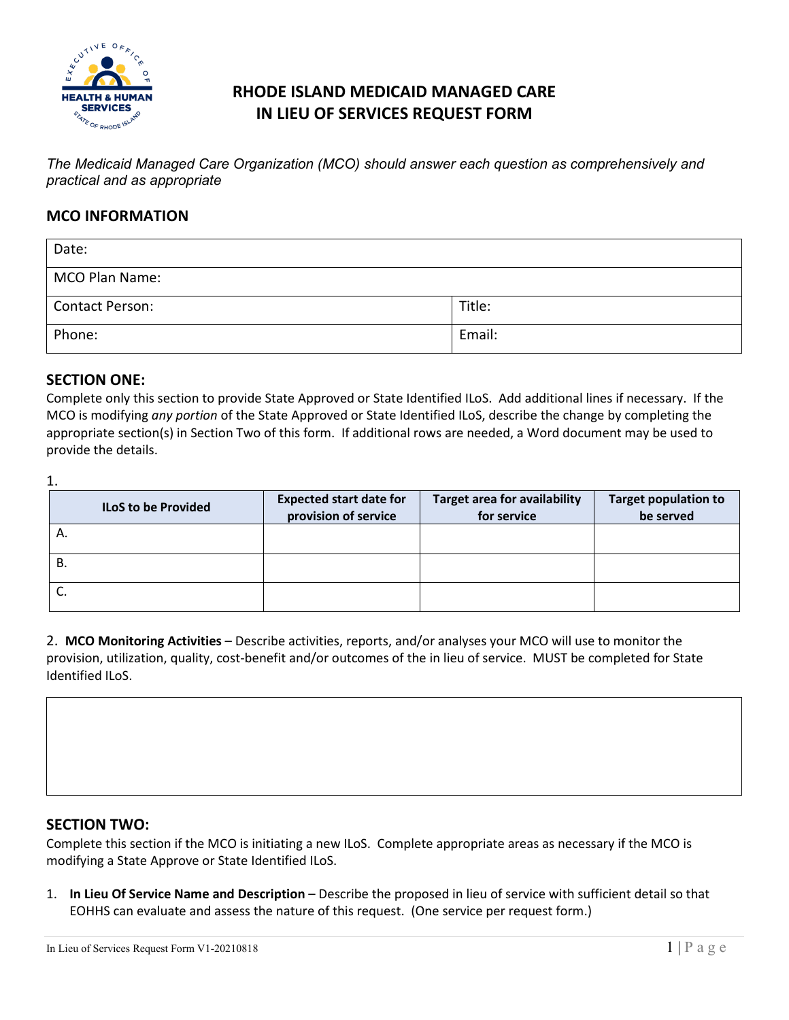

# **RHODE ISLAND MEDICAID MANAGED CARE IN LIEU OF SERVICES REQUEST FORM**

*The Medicaid Managed Care Organization (MCO) should answer each question as comprehensively and practical and as appropriate*

### **MCO INFORMATION**

| Date:                  |        |
|------------------------|--------|
| MCO Plan Name:         |        |
| <b>Contact Person:</b> | Title: |
| Phone:                 | Email: |

#### **SECTION ONE:**

Complete only this section to provide State Approved or State Identified ILoS. Add additional lines if necessary. If the MCO is modifying *any portion* of the State Approved or State Identified ILoS, describe the change by completing the appropriate section(s) in Section Two of this form. If additional rows are needed, a Word document may be used to provide the details.

1.

| <b>ILoS to be Provided</b> | <b>Expected start date for</b><br>provision of service | <b>Target area for availability</b><br>for service | <b>Target population to</b><br>be served |  |
|----------------------------|--------------------------------------------------------|----------------------------------------------------|------------------------------------------|--|
| Α.                         |                                                        |                                                    |                                          |  |
| В.                         |                                                        |                                                    |                                          |  |
| J.                         |                                                        |                                                    |                                          |  |

2. **MCO Monitoring Activities** – Describe activities, reports, and/or analyses your MCO will use to monitor the provision, utilization, quality, cost-benefit and/or outcomes of the in lieu of service. MUST be completed for State Identified ILoS.

#### **SECTION TWO:**

Complete this section if the MCO is initiating a new ILoS. Complete appropriate areas as necessary if the MCO is modifying a State Approve or State Identified ILoS.

1. **In Lieu Of Service Name and Description** – Describe the proposed in lieu of service with sufficient detail so that EOHHS can evaluate and assess the nature of this request. (One service per request form.)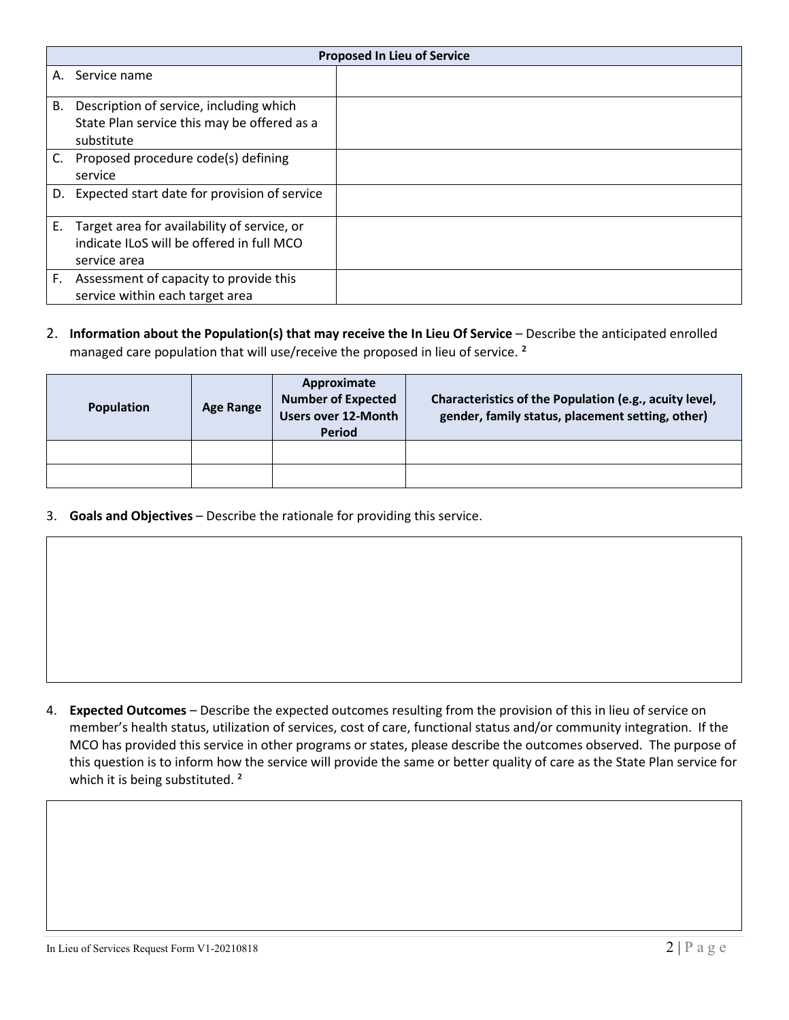|    | <b>Proposed In Lieu of Service</b>              |  |  |  |  |
|----|-------------------------------------------------|--|--|--|--|
|    | A. Service name                                 |  |  |  |  |
| В. | Description of service, including which         |  |  |  |  |
|    | State Plan service this may be offered as a     |  |  |  |  |
|    | substitute                                      |  |  |  |  |
| C. | Proposed procedure code(s) defining             |  |  |  |  |
|    | service                                         |  |  |  |  |
|    | D. Expected start date for provision of service |  |  |  |  |
|    |                                                 |  |  |  |  |
| Е. | Target area for availability of service, or     |  |  |  |  |
|    | indicate ILoS will be offered in full MCO       |  |  |  |  |
|    | service area                                    |  |  |  |  |
| F. | Assessment of capacity to provide this          |  |  |  |  |
|    | service within each target area                 |  |  |  |  |

#### 2. **Information about the Population(s) that may receive the In Lieu Of Service** – Describe the anticipated enrolled managed care population that will use/receive the proposed in lieu of service.<sup>2</sup>

| <b>Population</b> | <b>Age Range</b> | Approximate<br><b>Number of Expected</b><br>Users over 12-Month<br><b>Period</b> | Characteristics of the Population (e.g., acuity level,<br>gender, family status, placement setting, other) |
|-------------------|------------------|----------------------------------------------------------------------------------|------------------------------------------------------------------------------------------------------------|
|                   |                  |                                                                                  |                                                                                                            |
|                   |                  |                                                                                  |                                                                                                            |

3. **Goals and Objectives** – Describe the rationale for providing this service.

4. **Expected Outcomes** – Describe the expected outcomes resulting from the provision of this in lieu of service on member's health status, utilization of services, cost of care, functional status and/or community integration. If the MCO has provided this service in other programs or states, please describe the outcomes observed. The purpose of this question is to inform how the service will provide the same or better quality of care as the State Plan service for which it is being substituted.<sup>2</sup>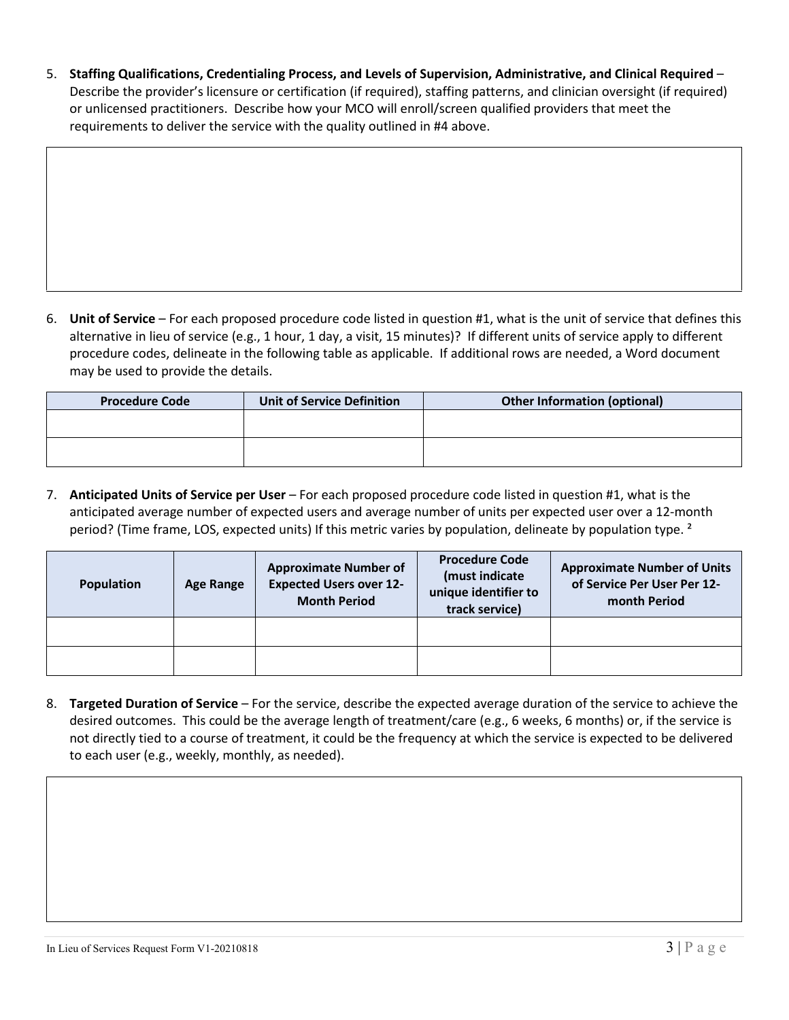5. **Staffing Qualifications, Credentialing Process, and Levels of Supervision, Administrative, and Clinical Required** – Describe the provider's licensure or certification (if required), staffing patterns, and clinician oversight (if required) or unlicensed practitioners. Describe how your MCO will enroll/screen qualified providers that meet the requirements to deliver the service with the quality outlined in #4 above.

6. **Unit of Service** – For each proposed procedure code listed in question #1, what is the unit of service that defines this alternative in lieu of service (e.g., 1 hour, 1 day, a visit, 15 minutes)? If different units of service apply to different procedure codes, delineate in the following table as applicable. If additional rows are needed, a Word document may be used to provide the details.

| <b>Procedure Code</b> | <b>Unit of Service Definition</b> | <b>Other Information (optional)</b> |  |  |
|-----------------------|-----------------------------------|-------------------------------------|--|--|
|                       |                                   |                                     |  |  |
|                       |                                   |                                     |  |  |
|                       |                                   |                                     |  |  |

7. **Anticipated Units of Service per User** – For each proposed procedure code listed in question #1, what is the anticipated average number of expected users and average number of units per expected user over a 12-month period? (Time frame, LOS, expected units) If this metric varies by population, delineate by population type. <sup>2</sup>

| <b>Population</b> | Age Range | <b>Approximate Number of</b><br><b>Expected Users over 12-</b><br><b>Month Period</b> | <b>Procedure Code</b><br>(must indicate<br>unique identifier to<br>track service) | <b>Approximate Number of Units</b><br>of Service Per User Per 12-<br>month Period |  |
|-------------------|-----------|---------------------------------------------------------------------------------------|-----------------------------------------------------------------------------------|-----------------------------------------------------------------------------------|--|
|                   |           |                                                                                       |                                                                                   |                                                                                   |  |
|                   |           |                                                                                       |                                                                                   |                                                                                   |  |

8. **Targeted Duration of Service** – For the service, describe the expected average duration of the service to achieve the desired outcomes. This could be the average length of treatment/care (e.g., 6 weeks, 6 months) or, if the service is not directly tied to a course of treatment, it could be the frequency at which the service is expected to be delivered to each user (e.g., weekly, monthly, as needed).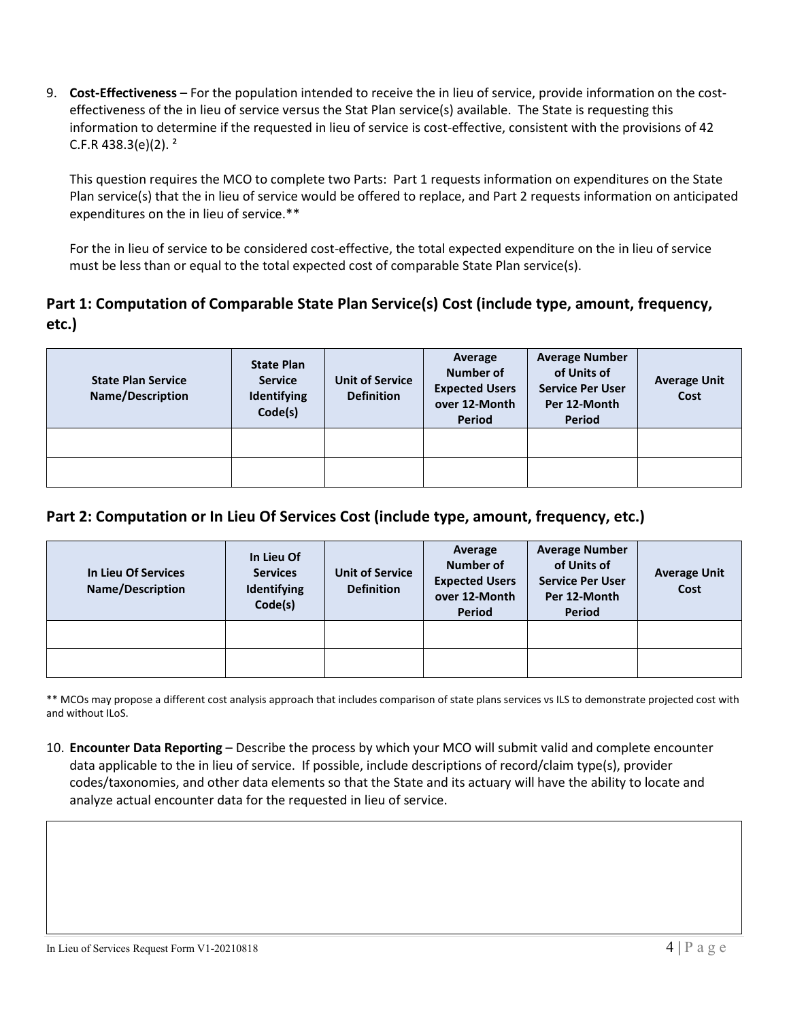9. **Cost-Effectiveness** – For the population intended to receive the in lieu of service, provide information on the costeffectiveness of the in lieu of service versus the Stat Plan service(s) available. The State is requesting this information to determine if the requested in lieu of service is cost-effective, consistent with the provisions of 42 C.F.R 438.3(e)(2).  $2^{\circ}$ 

This question requires the MCO to complete two Parts: Part 1 requests information on expenditures on the State Plan service(s) that the in lieu of service would be offered to replace, and Part 2 requests information on anticipated expenditures on the in lieu of service.\*\*

For the in lieu of service to be considered cost-effective, the total expected expenditure on the in lieu of service must be less than or equal to the total expected cost of comparable State Plan service(s).

## **Part 1: Computation of Comparable State Plan Service(s) Cost (include type, amount, frequency, etc.)**

| <b>State Plan Service</b><br>Name/Description | <b>State Plan</b><br><b>Service</b><br>Identifying<br>Code(s) | <b>Unit of Service</b><br><b>Definition</b> | Average<br>Number of<br><b>Expected Users</b><br>over 12-Month<br><b>Period</b> | <b>Average Number</b><br>of Units of<br><b>Service Per User</b><br>Per 12-Month<br><b>Period</b> | <b>Average Unit</b><br>Cost |
|-----------------------------------------------|---------------------------------------------------------------|---------------------------------------------|---------------------------------------------------------------------------------|--------------------------------------------------------------------------------------------------|-----------------------------|
|                                               |                                                               |                                             |                                                                                 |                                                                                                  |                             |
|                                               |                                                               |                                             |                                                                                 |                                                                                                  |                             |

### **Part 2: Computation or In Lieu Of Services Cost (include type, amount, frequency, etc.)**

| In Lieu Of Services<br>Name/Description | In Lieu Of<br><b>Services</b><br>Identifying<br>Code(s) | <b>Unit of Service</b><br><b>Definition</b> | Average<br>Number of<br><b>Expected Users</b><br>over 12-Month<br><b>Period</b> | <b>Average Number</b><br>of Units of<br><b>Service Per User</b><br>Per 12-Month<br>Period | <b>Average Unit</b><br>Cost |
|-----------------------------------------|---------------------------------------------------------|---------------------------------------------|---------------------------------------------------------------------------------|-------------------------------------------------------------------------------------------|-----------------------------|
|                                         |                                                         |                                             |                                                                                 |                                                                                           |                             |
|                                         |                                                         |                                             |                                                                                 |                                                                                           |                             |

\*\* MCOs may propose a different cost analysis approach that includes comparison of state plans services vs ILS to demonstrate projected cost with and without ILoS.

10. **Encounter Data Reporting** – Describe the process by which your MCO will submit valid and complete encounter data applicable to the in lieu of service. If possible, include descriptions of record/claim type(s), provider codes/taxonomies, and other data elements so that the State and its actuary will have the ability to locate and analyze actual encounter data for the requested in lieu of service.